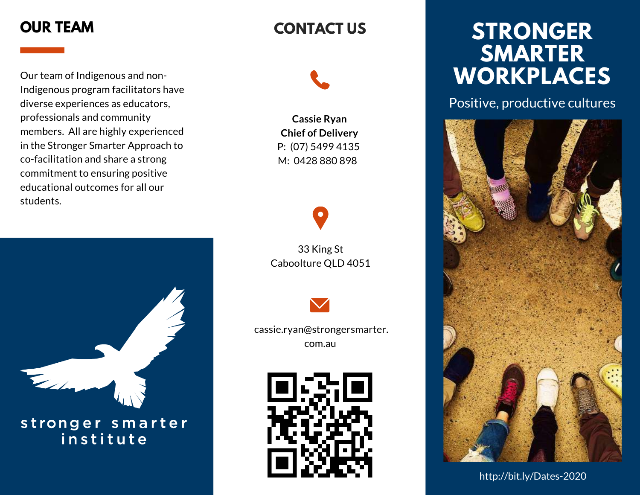Our team of Indigenous and non-Indigenous program facilitators have diverse experiences as educators, professionals and community members. All are highly experienced in the Stronger Smarter Approach to co-facilitation and share a strong commitment to ensuring positive educational outcomes for all our students.



stronger smarter institute

## **CONTACT US**

**Cassie Ryan Chief of Delivery** P: (07) 5499 4135 M: 0428 880 898

33 King St Caboolture QLD 4051



 [cassie.ryan@strongersmarter.](mailto:nancia.guivarra@strongersmarter.com.au) [com.au](mailto:nancia.guivarra@strongersmarter.com.au)



# **OUR TEAM STRONGER SMARTER WORKPLACES**

Positive, productive cultures



http://bit.ly/Dates-2020